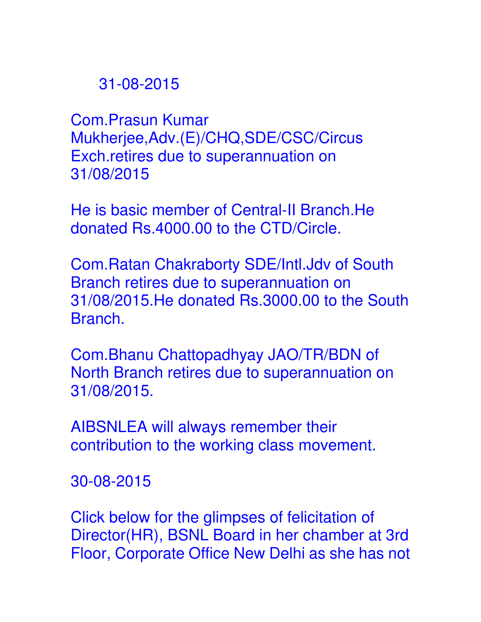## 31-08-2015

Com.Prasun Kumar Mukherjee,Adv.(E)/CHQ,SDE/CSC/Circus Exch.retires due to superannuation on 31/08/2015

He is basic member of Central-II Branch.He donated Rs.4000.00 to the CTD/Circle.

Com.Ratan Chakraborty SDE/Intl.Jdv of South Branch retires due to superannuation on 31/08/2015.He donated Rs.3000.00 to the South Branch.

Com.Bhanu Chattopadhyay JAO/TR/BDN of North Branch retires due to superannuation on 31/08/2015.

AIBSNLEA will always remember their contribution to the working class movement.

30-08-2015

Click below for the glimpses of felicitation of Director(HR), BSNL Board in her chamber at 3rd Floor, Corporate Office New Delhi as she has not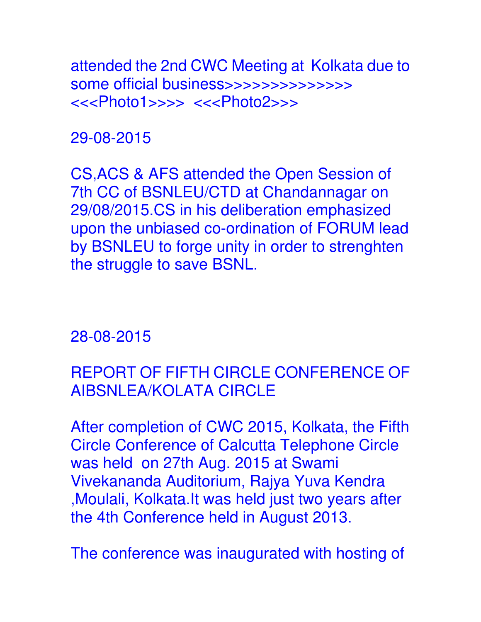attended the 2nd CWC Meeting at Kolkata due to some official business>>>>>>>>>>>>>> <<<Photo1>>>> <<<Photo2>>>

29-08-2015

CS,ACS & AFS attended the Open Session of 7th CC of BSNLEU/CTD at Chandannagar on 29/08/2015.CS in his deliberation emphasized upon the unbiased co-ordination of FORUM lead by BSNLEU to forge unity in order to strenghten the struggle to save BSNL.

28-08-2015

REPORT OF FIFTH CIRCLE CONFERENCE OF AIBSNLEA/KOLATA CIRCLE

After completion of CWC 2015, Kolkata, the Fifth Circle Conference of Calcutta Telephone Circle was held on 27th Aug. 2015 at Swami Vivekananda Auditorium, Rajya Yuva Kendra ,Moulali, Kolkata.It was held just two years after the 4th Conference held in August 2013.

The conference was inaugurated with hosting of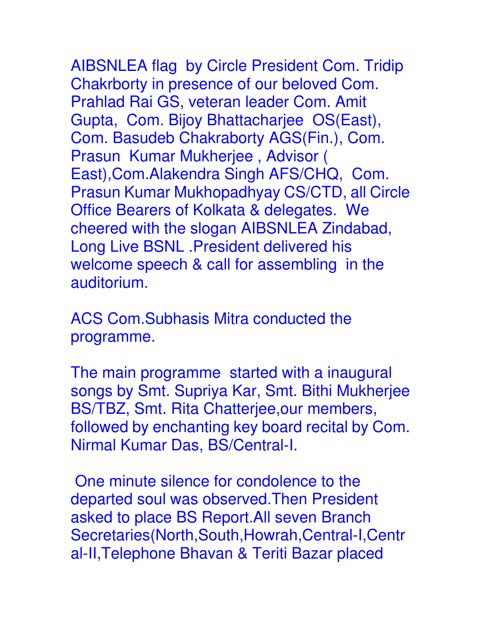AIBSNLEA flag by Circle President Com. Tridip Chakrborty in presence of our beloved Com. Prahlad Rai GS, veteran leader Com. Amit Gupta, Com. Bijoy Bhattacharjee OS(East), Com. Basudeb Chakraborty AGS(Fin.), Com. Prasun Kumar Mukherjee , Advisor ( East),Com.Alakendra Singh AFS/CHQ, Com. Prasun Kumar Mukhopadhyay CS/CTD, all Circle Office Bearers of Kolkata & delegates. We cheered with the slogan AIBSNLEA Zindabad, Long Live BSNL .President delivered his welcome speech & call for assembling in the auditorium.

ACS Com.Subhasis Mitra conducted the programme.

The main programme started with a inaugural songs by Smt. Supriya Kar, Smt. Bithi Mukherjee BS/TBZ, Smt. Rita Chatterjee,our members, followed by enchanting key board recital by Com. Nirmal Kumar Das, BS/Central-I.

 One minute silence for condolence to the departed soul was observed.Then President asked to place BS Report.All seven Branch Secretaries(North,South,Howrah,Central-I,Centr al-II,Telephone Bhavan & Teriti Bazar placed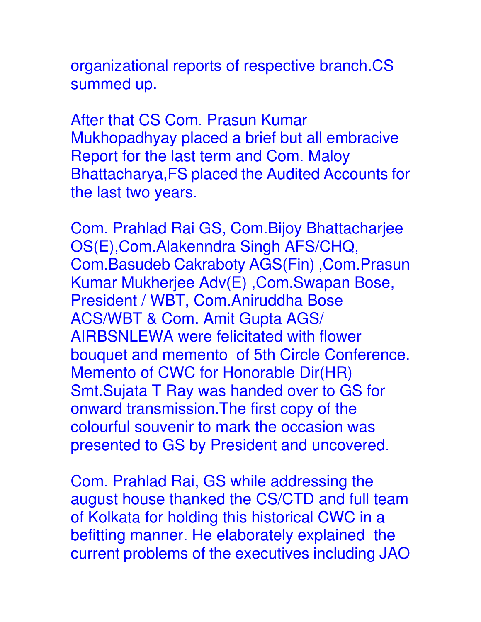organizational reports of respective branch.CS summed up.

After that CS Com. Prasun Kumar Mukhopadhyay placed a brief but all embracive Report for the last term and Com. Maloy Bhattacharya,FS placed the Audited Accounts for the last two years.

Com. Prahlad Rai GS, Com.Bijoy Bhattacharjee OS(E),Com.Alakenndra Singh AFS/CHQ, Com.Basudeb Cakraboty AGS(Fin) ,Com.Prasun Kumar Mukherjee Adv(E) ,Com.Swapan Bose, President / WBT, Com.Aniruddha Bose ACS/WBT & Com. Amit Gupta AGS/ AIRBSNLEWA were felicitated with flower bouquet and memento of 5th Circle Conference. Memento of CWC for Honorable Dir(HR) Smt.Sujata T Ray was handed over to GS for onward transmission.The first copy of the colourful souvenir to mark the occasion was presented to GS by President and uncovered.

Com. Prahlad Rai, GS while addressing the august house thanked the CS/CTD and full team of Kolkata for holding this historical CWC in a befitting manner. He elaborately explained the current problems of the executives including JAO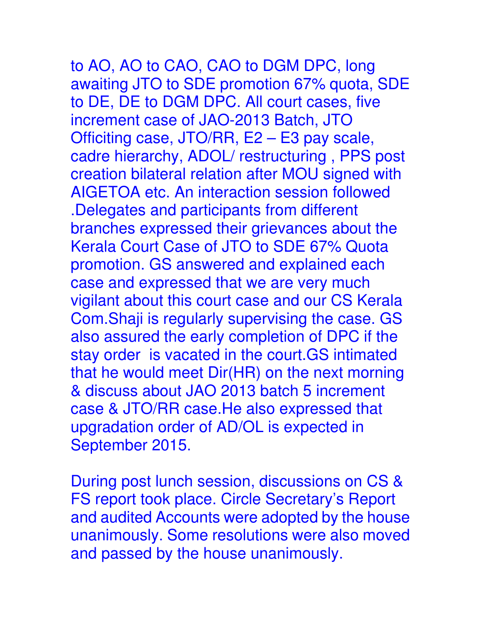## to AO, AO to CAO, CAO to DGM DPC, long awaiting JTO to SDE promotion 67% quota, SDE

to DE, DE to DGM DPC. All court cases, five increment case of JAO-2013 Batch, JTO Officiting case, JTO/RR, E2 – E3 pay scale, cadre hierarchy, ADOL/ restructuring , PPS post creation bilateral relation after MOU signed with AIGETOA etc. An interaction session followed .Delegates and participants from different branches expressed their grievances about the Kerala Court Case of JTO to SDE 67% Quota promotion. GS answered and explained each case and expressed that we are very much vigilant about this court case and our CS Kerala Com.Shaji is regularly supervising the case. GS also assured the early completion of DPC if the stay order is vacated in the court.GS intimated that he would meet Dir(HR) on the next morning & discuss about JAO 2013 batch 5 increment case & JTO/RR case.He also expressed that upgradation order of AD/OL is expected in September 2015.

During post lunch session, discussions on CS & FS report took place. Circle Secretary's Report and audited Accounts were adopted by the house unanimously. Some resolutions were also moved and passed by the house unanimously.